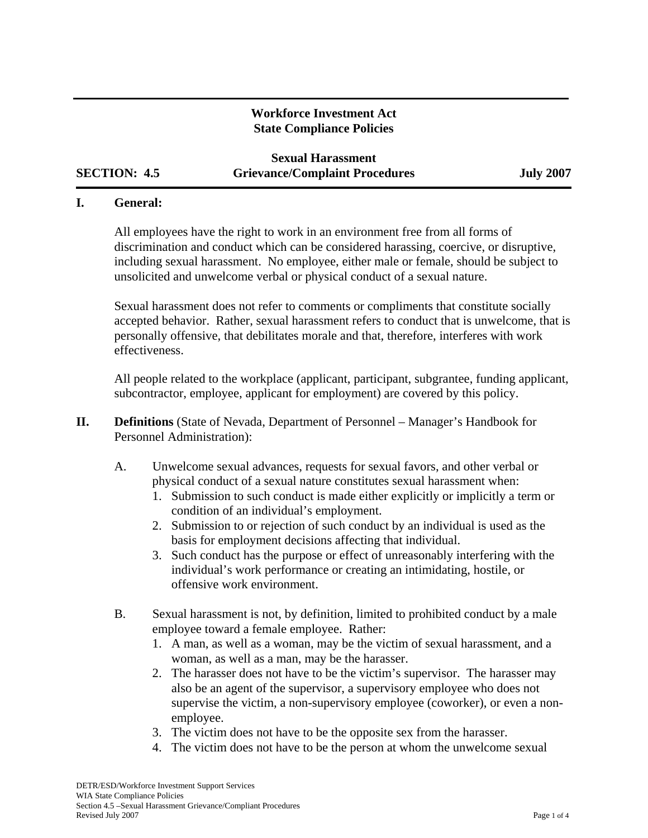# **Workforce Investment Act State Compliance Policies**

**Sexual Harassment SECTION: 4.5 Grievance/Complaint Procedures July 2007**

## **I. General:**

All employees have the right to work in an environment free from all forms of discrimination and conduct which can be considered harassing, coercive, or disruptive, including sexual harassment. No employee, either male or female, should be subject to unsolicited and unwelcome verbal or physical conduct of a sexual nature.

Sexual harassment does not refer to comments or compliments that constitute socially accepted behavior. Rather, sexual harassment refers to conduct that is unwelcome, that is personally offensive, that debilitates morale and that, therefore, interferes with work effectiveness.

All people related to the workplace (applicant, participant, subgrantee, funding applicant, subcontractor, employee, applicant for employment) are covered by this policy.

- **II. Definitions** (State of Nevada, Department of Personnel Manager's Handbook for Personnel Administration):
	- A. Unwelcome sexual advances, requests for sexual favors, and other verbal or physical conduct of a sexual nature constitutes sexual harassment when:
		- 1. Submission to such conduct is made either explicitly or implicitly a term or condition of an individual's employment.
		- 2. Submission to or rejection of such conduct by an individual is used as the basis for employment decisions affecting that individual.
		- 3. Such conduct has the purpose or effect of unreasonably interfering with the individual's work performance or creating an intimidating, hostile, or offensive work environment.
	- B. Sexual harassment is not, by definition, limited to prohibited conduct by a male employee toward a female employee. Rather:
		- 1. A man, as well as a woman, may be the victim of sexual harassment, and a woman, as well as a man, may be the harasser.
		- 2. The harasser does not have to be the victim's supervisor. The harasser may also be an agent of the supervisor, a supervisory employee who does not supervise the victim, a non-supervisory employee (coworker), or even a nonemployee.
		- 3. The victim does not have to be the opposite sex from the harasser.
		- 4. The victim does not have to be the person at whom the unwelcome sexual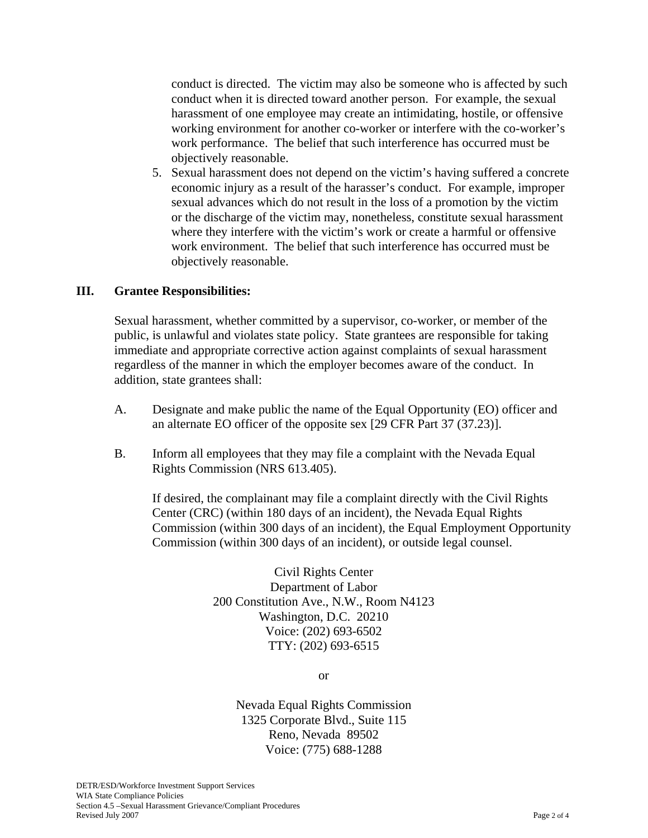conduct is directed. The victim may also be someone who is affected by such conduct when it is directed toward another person. For example, the sexual harassment of one employee may create an intimidating, hostile, or offensive working environment for another co-worker or interfere with the co-worker's work performance. The belief that such interference has occurred must be objectively reasonable.

5. Sexual harassment does not depend on the victim's having suffered a concrete economic injury as a result of the harasser's conduct. For example, improper sexual advances which do not result in the loss of a promotion by the victim or the discharge of the victim may, nonetheless, constitute sexual harassment where they interfere with the victim's work or create a harmful or offensive work environment. The belief that such interference has occurred must be objectively reasonable.

### **III. Grantee Responsibilities:**

Sexual harassment, whether committed by a supervisor, co-worker, or member of the public, is unlawful and violates state policy. State grantees are responsible for taking immediate and appropriate corrective action against complaints of sexual harassment regardless of the manner in which the employer becomes aware of the conduct. In addition, state grantees shall:

- A. Designate and make public the name of the Equal Opportunity (EO) officer and an alternate EO officer of the opposite sex [29 CFR Part 37 (37.23)].
- B. Inform all employees that they may file a complaint with the Nevada Equal Rights Commission (NRS 613.405).

If desired, the complainant may file a complaint directly with the Civil Rights Center (CRC) (within 180 days of an incident), the Nevada Equal Rights Commission (within 300 days of an incident), the Equal Employment Opportunity Commission (within 300 days of an incident), or outside legal counsel.

> Civil Rights Center Department of Labor 200 Constitution Ave., N.W., Room N4123 Washington, D.C. 20210 Voice: (202) 693-6502 TTY: (202) 693-6515

> > or

Nevada Equal Rights Commission 1325 Corporate Blvd., Suite 115 Reno, Nevada 89502 Voice: (775) 688-1288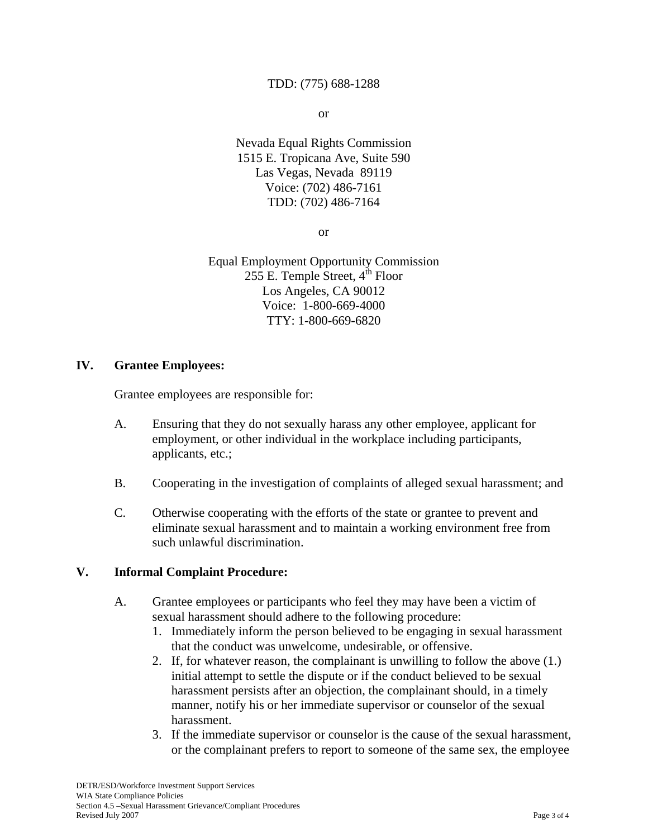# TDD: (775) 688-1288

or

Nevada Equal Rights Commission 1515 E. Tropicana Ave, Suite 590 Las Vegas, Nevada 89119 Voice: (702) 486-7161 TDD: (702) 486-7164

or

Equal Employment Opportunity Commission 255 E. Temple Street,  $4^{th}$  Floor Los Angeles, CA 90012 Voice: 1-800-669-4000 TTY: 1-800-669-6820

### **IV. Grantee Employees:**

Grantee employees are responsible for:

- A. Ensuring that they do not sexually harass any other employee, applicant for employment, or other individual in the workplace including participants, applicants, etc.;
- B. Cooperating in the investigation of complaints of alleged sexual harassment; and
- C. Otherwise cooperating with the efforts of the state or grantee to prevent and eliminate sexual harassment and to maintain a working environment free from such unlawful discrimination.

## **V. Informal Complaint Procedure:**

- A. Grantee employees or participants who feel they may have been a victim of sexual harassment should adhere to the following procedure:
	- 1. Immediately inform the person believed to be engaging in sexual harassment that the conduct was unwelcome, undesirable, or offensive.
	- 2. If, for whatever reason, the complainant is unwilling to follow the above (1.) initial attempt to settle the dispute or if the conduct believed to be sexual harassment persists after an objection, the complainant should, in a timely manner, notify his or her immediate supervisor or counselor of the sexual harassment.
	- 3. If the immediate supervisor or counselor is the cause of the sexual harassment, or the complainant prefers to report to someone of the same sex, the employee